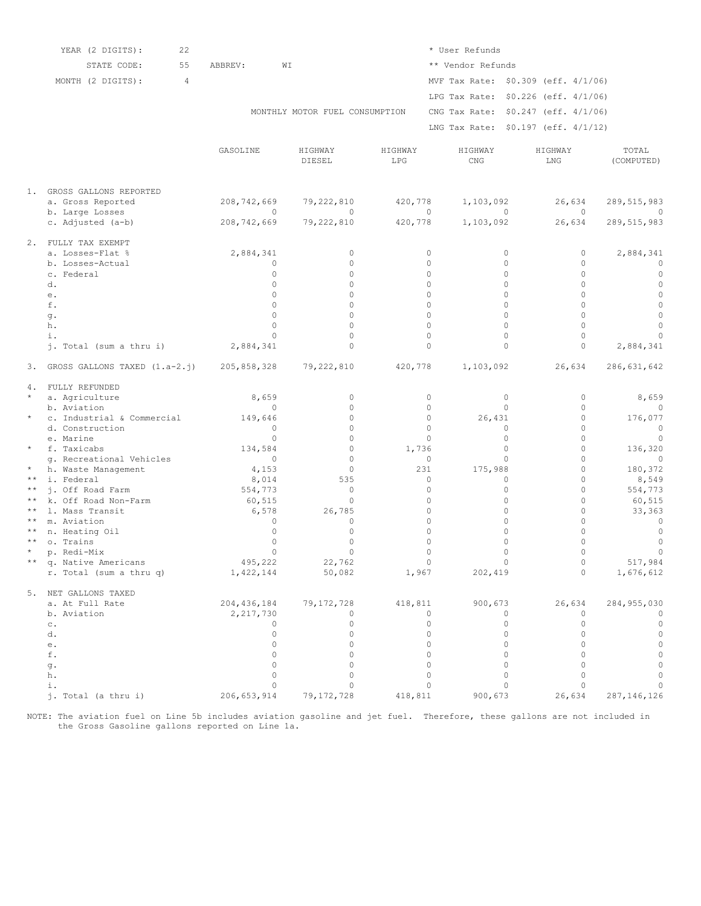|              | 22<br>YEAR (2 DIGITS):                       |                |                                |                      | * User Refunds                         |                |                                           |  |
|--------------|----------------------------------------------|----------------|--------------------------------|----------------------|----------------------------------------|----------------|-------------------------------------------|--|
|              | STATE CODE:<br>55                            | ABBREV:        | WΙ                             |                      | ** Vendor Refunds                      |                |                                           |  |
|              | MONTH (2 DIGITS):<br>$\overline{4}$          |                |                                |                      | MVF Tax Rate: \$0.309 (eff. 4/1/06)    |                |                                           |  |
|              |                                              |                |                                |                      |                                        |                |                                           |  |
|              |                                              |                |                                |                      | LPG Tax Rate: \$0.226 (eff. 4/1/06)    |                |                                           |  |
|              |                                              |                | MONTHLY MOTOR FUEL CONSUMPTION |                      | CNG Tax Rate: \$0.247 (eff. 4/1/06)    |                |                                           |  |
|              |                                              |                |                                |                      | LNG Tax Rate: \$0.197 (eff. 4/1/12)    |                |                                           |  |
|              |                                              |                |                                |                      |                                        |                |                                           |  |
|              |                                              | GASOLINE       | HIGHWAY<br>DIESEL              | HIGHWAY<br>LPG       | HIGHWAY<br>$\mathop{\rm CNG}\nolimits$ | HIGHWAY<br>LNG | TOTAL<br>(COMPUTED)                       |  |
|              |                                              |                |                                |                      |                                        |                |                                           |  |
|              | 1. GROSS GALLONS REPORTED                    |                |                                |                      |                                        |                |                                           |  |
|              | a. Gross Reported                            | 208,742,669    | 79,222,810                     | 420,778              | 1,103,092                              | 26,634         | 289, 515, 983                             |  |
|              | b. Large Losses                              | $\Omega$       | $\Omega$                       | $\Omega$             | $\Omega$                               |                | $\Omega$<br>0                             |  |
|              | c. Adjusted (a-b)                            | 208,742,669    | 79,222,810                     | 420,778              | 1,103,092                              | 26,634         | 289, 515, 983                             |  |
|              | 2. FULLY TAX EXEMPT                          |                |                                |                      |                                        |                |                                           |  |
|              | a. Losses-Flat %                             | 2,884,341      | $\circ$                        | $\circ$              | 0                                      |                | 2,884,341<br>0                            |  |
|              | b. Losses-Actual                             | $\circ$        | $\circ$                        | $\circ$              | $\Omega$                               |                | $\circ$<br>$\circ$                        |  |
|              | c. Federal                                   | $\Omega$       | $\Omega$                       | $\Omega$             | $\Omega$                               |                | $\Omega$<br>$\mathbf 0$                   |  |
|              | d.                                           | $\Omega$       | $\Omega$                       | $\Omega$             | $\Omega$                               |                | $\Omega$<br>$\circ$                       |  |
|              | е.                                           | $\Omega$       | $\Omega$                       | $\Omega$             | $\Omega$                               |                | $\Omega$<br>$\circ$                       |  |
|              | f.                                           | $\Omega$       | $\Omega$                       | $\Omega$             | $\Omega$                               |                | $\circ$<br>$\Omega$                       |  |
|              | g.                                           | $\Omega$       | $\Omega$                       | $\Omega$             | $\Omega$                               |                | $\circ$<br>$\Omega$                       |  |
|              | h.                                           | $\Omega$       | $\Omega$                       | $\Omega$             | $\Omega$                               |                | $\Omega$<br>$\mathbf 0$                   |  |
|              | i.                                           | $\Omega$       | $\Omega$<br>$\Omega$           | $\Omega$<br>$\Omega$ | $\Omega$<br>$\mathbf 0$                |                | $\Omega$<br>$\circ$<br>$\mathbf 0$        |  |
|              | j. Total (sum a thru i)                      | 2,884,341      |                                |                      |                                        |                | 2,884,341                                 |  |
|              | 3. GROSS GALLONS TAXED (1.a-2.j) 205,858,328 |                | 79,222,810                     | 420,778              | 1,103,092                              | 26,634         | 286, 631, 642                             |  |
|              | 4. FULLY REFUNDED                            |                |                                |                      |                                        |                |                                           |  |
| $\star$      | a. Agriculture                               | 8,659          | $\circ$                        | $\circ$              | $\circ$                                |                | $\circ$<br>8,659                          |  |
|              | b. Aviation                                  | $\circ$        | $\Omega$                       | $\circ$              | $\Omega$                               |                | $\circ$<br>$\mathbf{0}$                   |  |
| $\star$      | c. Industrial & Commercial                   | 149,646        | $\Omega$                       | $\circ$              | 26,431                                 |                | 0<br>176,077                              |  |
|              | d. Construction                              | $\Omega$       | $\Omega$                       | $\Omega$             | 0                                      |                | $\circ$<br>$\circ$                        |  |
|              | e. Marine                                    | $\Omega$       | $\Omega$                       | $\Omega$             | $\Omega$                               |                | $\Omega$<br>$\overline{0}$                |  |
| $\star$      | f. Taxicabs                                  | 134,584        | $\Omega$                       | 1,736                | $\Omega$                               |                | $\circ$<br>136,320                        |  |
| $^{\star}$   | q. Recreational Vehicles                     | $\circ$        | $\Omega$<br>$\circ$            | $\circ$<br>231       | $\Omega$                               |                | $\Omega$<br>$\circ$<br>$\circ$<br>180,372 |  |
| $\star\star$ | h. Waste Management<br>i. Federal            | 4,153<br>8,014 | 535                            | 0                    | 175,988<br>$\Omega$                    |                | $\Omega$<br>8,549                         |  |
| $\star\star$ | i. Off Road Farm                             | 554,773        | $\circ$                        | $\circ$              | $\mathbf 0$                            |                | $\circ$<br>554,773                        |  |
| $\star\star$ | k. Off Road Non-Farm                         | 60,515         | $\Omega$                       | $\circ$              | $\mathbf 0$                            |                | $\mathbf 0$<br>60,515                     |  |
| $\star\star$ | 1. Mass Transit                              | 6,578          | 26,785                         | $\circ$              | $\mathbf 0$                            |                | $\mathbf 0$<br>33,363                     |  |
| $\star\star$ | m. Aviation                                  | $\Omega$       | $\Omega$                       | $\Omega$             | $\Omega$                               |                | $\Omega$<br>$\circ$                       |  |
| $\star\star$ | n. Heating Oil                               | $\Omega$       | $\circ$                        | $\mathbf 0$          | $\Omega$                               |                | $\mathbf 0$<br>$\circ$                    |  |
| $\star\star$ | o. Trains                                    | $\Omega$       | $\Omega$                       | 0                    | $\Omega$                               |                | $\circ$<br>$\mathbb O$                    |  |
| $\star$      | p. Redi-Mix                                  | $\Omega$       | $\Omega$                       | $\Omega$             | $\Omega$                               |                | $\circ$<br>$\circ$                        |  |
|              | q. Native Americans                          | 495,222        | 22,762                         | $\circ$              | 0                                      |                | 517,984<br>0                              |  |
|              | r. Total (sum a thru q)                      | 1,422,144      | 50,082                         | 1,967                | 202,419                                |                | $\circ$<br>1,676,612                      |  |
|              | 5. NET GALLONS TAXED                         |                |                                |                      |                                        |                |                                           |  |
|              | a. At Full Rate                              | 204, 436, 184  | 79, 172, 728                   | 418,811              | 900,673                                | 26,634         | 284, 955, 030                             |  |
|              | b. Aviation                                  | 2,217,730      | 0                              | $\circ$              | 0                                      |                | $\circ$<br>$\circ$                        |  |
|              | $\mathtt{C}$ .                               | 0              | $\circ$                        | $\mathbf 0$          | $\mathbf 0$                            |                | $\mathbb O$<br>$\circ$                    |  |
|              | d.                                           | $\circ$        | $\circ$                        | $\circ$              | $\circ$                                |                | $\mathbb O$<br>$\circ$                    |  |
|              | e.                                           | $\Omega$       | $\Omega$                       | $\Omega$             | $\mathbf 0$                            |                | $\circ$<br>$\Omega$                       |  |
|              | f.                                           | $\circ$        | $\circ$                        | 0                    | $\mathbf 0$                            |                | $\circ$<br>$\Omega$                       |  |
|              | g.                                           | $\Omega$       | $\circ$                        | $\Omega$             | $\mathbf 0$                            |                | $\circ$<br>0                              |  |
|              | h.                                           | $\Omega$       | $\circ$                        | $\mathbf 0$          | $\mathbf 0$                            |                | $\mathbf 0$<br>0                          |  |
|              | i.                                           | $\Omega$       | $\Omega$                       | $\Omega$             | 0                                      |                | $\circ$<br>0                              |  |
|              | j. Total (a thru i)                          | 206, 653, 914  | 79, 172, 728                   | 418,811              | 900,673                                | 26,634         | 287, 146, 126                             |  |

The aviation fuel on Line 5b includes aviation gasoline and jet fuel. Therefore, these gallons are not included in the Gross Gasoline gallons reported on Line 1a. NOTE: